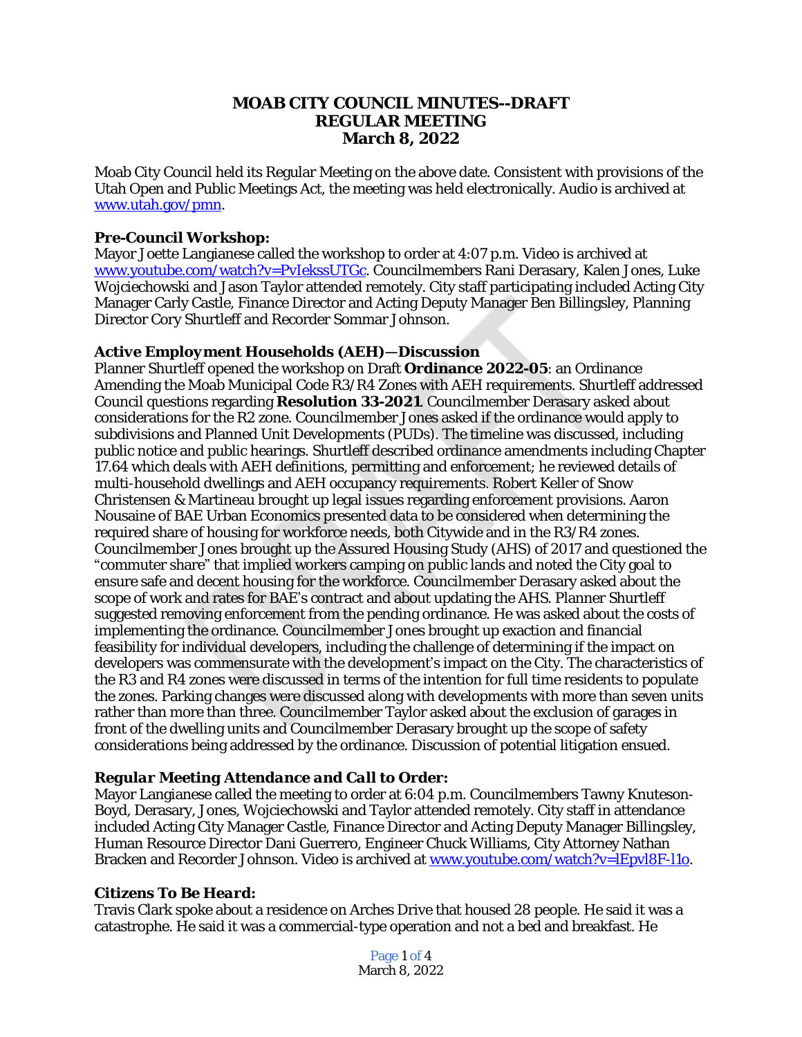### **MOAB CITY COUNCIL MINUTES--DRAFT REGULAR MEETING March 8, 2022**

Moab City Council held its Regular Meeting on the above date. Consistent with provisions of the Utah Open and Public Meetings Act, the meeting was held electronically. Audio is archived at [www.utah.gov/pmn.](file:///C:\\Users\\etallman\\Desktop\\Minutes\\www.utah.gov\\pmn)

#### *Pre-Council Workshop:*

Mayor Joette Langianese called the workshop to order at 4:07 p.m. Video is archived at [www.youtube.com/watch?v=PvIekssUTGc](http://www.youtube.com/watch?v=PvIekssUTGc). Councilmembers Rani Derasary, Kalen Jones, Luke Wojciechowski and Jason Taylor attended remotely. City staff participating included Acting City Manager Carly Castle, Finance Director and Acting Deputy Manager Ben Billingsley, Planning Director Cory Shurtleff and Recorder Sommar Johnson.

### *Active Employment Households (AEH)—Discussion*

Planner Shurtleff opened the workshop on Draft **Ordinance 2022-05**: an Ordinance Amending the Moab Municipal Code R3/R4 Zones with AEH requirements. Shurtleff addressed Council questions regarding **Resolution 33-2021**. Councilmember Derasary asked about considerations for the R2 zone. Councilmember Jones asked if the ordinance would apply to subdivisions and Planned Unit Developments (PUDs). The timeline was discussed, including public notice and public hearings. Shurtleff described ordinance amendments including Chapter 17.64 which deals with AEH definitions, permitting and enforcement; he reviewed details of multi-household dwellings and AEH occupancy requirements. Robert Keller of Snow Christensen & Martineau brought up legal issues regarding enforcement provisions. Aaron Nousaine of BAE Urban Economics presented data to be considered when determining the required share of housing for workforce needs, both Citywide and in the R3/R4 zones. Councilmember Jones brought up the Assured Housing Study (AHS) of 2017 and questioned the "commuter share" that implied workers camping on public lands and noted the City goal to ensure safe and decent housing for the workforce. Councilmember Derasary asked about the scope of work and rates for BAE's contract and about updating the AHS. Planner Shurtleff suggested removing enforcement from the pending ordinance. He was asked about the costs of implementing the ordinance. Councilmember Jones brought up exaction and financial feasibility for individual developers, including the challenge of determining if the impact on developers was commensurate with the development's impact on the City. The characteristics of the R3 and R4 zones were discussed in terms of the intention for full time residents to populate the zones. Parking changes were discussed along with developments with more than seven units rather than more than three. Councilmember Taylor asked about the exclusion of garages in front of the dwelling units and Councilmember Derasary brought up the scope of safety considerations being addressed by the ordinance. Discussion of potential litigation ensued.

### *Regular Meeting Attendance and Call to Order:*

Mayor Langianese called the meeting to order at 6:04 p.m. Councilmembers Tawny Knuteson-Boyd, Derasary, Jones, Wojciechowski and Taylor attended remotely. City staff in attendance included Acting City Manager Castle, Finance Director and Acting Deputy Manager Billingsley, Human Resource Director Dani Guerrero, Engineer Chuck Williams, City Attorney Nathan Bracken and Recorder Johnson. Video is archived at [www.youtube.com/watch?v=lEpvl8F-l1o](http://www.youtube.com/watch?v=lEpvl8F-l1o).

#### *Citizens To Be Heard:*

Travis Clark spoke about a residence on Arches Drive that housed 28 people. He said it was a catastrophe. He said it was a commercial-type operation and not a bed and breakfast. He

> Page 1 of 4 March 8, 2022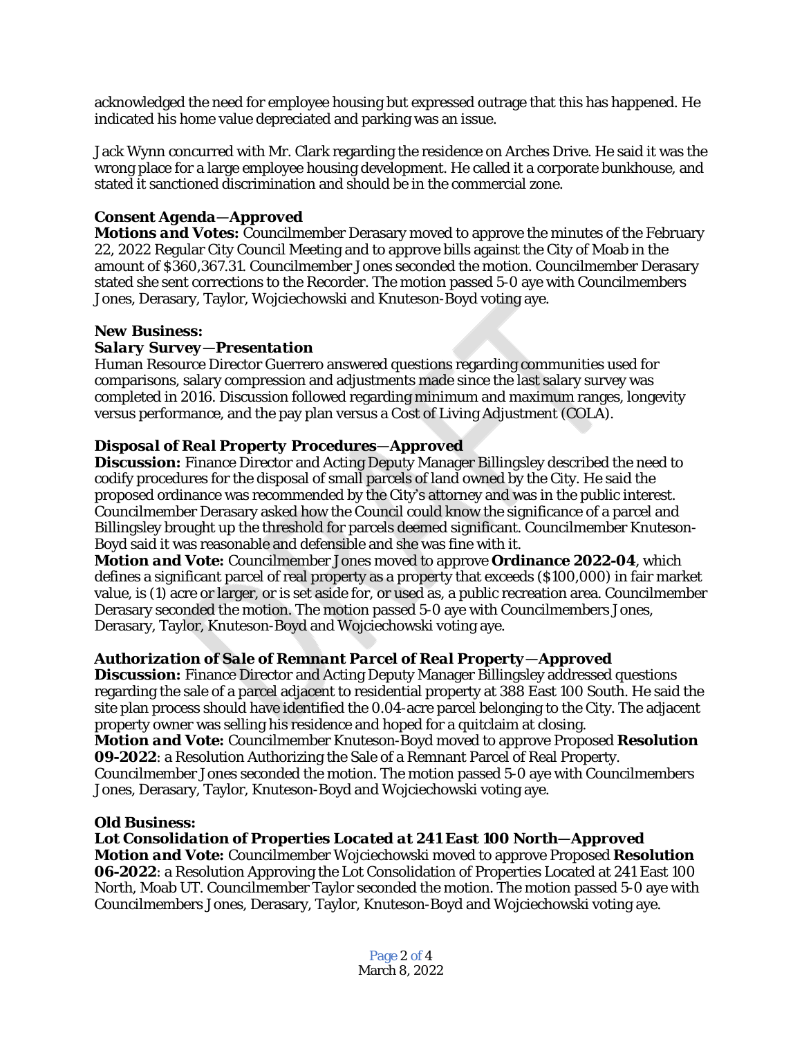acknowledged the need for employee housing but expressed outrage that this has happened. He indicated his home value depreciated and parking was an issue.

Jack Wynn concurred with Mr. Clark regarding the residence on Arches Drive. He said it was the wrong place for a large employee housing development. He called it a corporate bunkhouse, and stated it sanctioned discrimination and should be in the commercial zone.

# *Consent Agenda—Approved*

*Motions and Votes:* Councilmember Derasary moved to approve the minutes of the February 22, 2022 Regular City Council Meeting and to approve bills against the City of Moab in the amount of \$360,367.31. Councilmember Jones seconded the motion. Councilmember Derasary stated she sent corrections to the Recorder. The motion passed 5-0 aye with Councilmembers Jones, Derasary, Taylor, Wojciechowski and Knuteson-Boyd voting aye.

### *New Business:*

## *Salary Survey—Presentation*

Human Resource Director Guerrero answered questions regarding communities used for comparisons, salary compression and adjustments made since the last salary survey was completed in 2016. Discussion followed regarding minimum and maximum ranges, longevity versus performance, and the pay plan versus a Cost of Living Adjustment (COLA).

## *Disposal of Real Property Procedures—Approved*

**Discussion:** Finance Director and Acting Deputy Manager Billingsley described the need to codify procedures for the disposal of small parcels of land owned by the City. He said the proposed ordinance was recommended by the City's attorney and was in the public interest. Councilmember Derasary asked how the Council could know the significance of a parcel and Billingsley brought up the threshold for parcels deemed significant. Councilmember Knuteson-Boyd said it was reasonable and defensible and she was fine with it.

*Motion and Vote:* Councilmember Jones moved to approve **Ordinance 2022-04**, which defines a significant parcel of real property as a property that exceeds (\$100,000) in fair market value, is (1) acre or larger, or is set aside for, or used as, a public recreation area. Councilmember Derasary seconded the motion. The motion passed 5-0 aye with Councilmembers Jones, Derasary, Taylor, Knuteson-Boyd and Wojciechowski voting aye.

# *Authorization of Sale of Remnant Parcel of Real Property—Approved*

**Discussion:** Finance Director and Acting Deputy Manager Billingsley addressed questions regarding the sale of a parcel adjacent to residential property at 388 East 100 South. He said the site plan process should have identified the 0.04-acre parcel belonging to the City. The adjacent property owner was selling his residence and hoped for a quitclaim at closing. *Motion and Vote:* Councilmember Knuteson-Boyd moved to approve Proposed **Resolution 09-2022**: a Resolution Authorizing the Sale of a Remnant Parcel of Real Property. Councilmember Jones seconded the motion. The motion passed 5-0 aye with Councilmembers Jones, Derasary, Taylor, Knuteson-Boyd and Wojciechowski voting aye.

### *Old Business:*

# *Lot Consolidation of Properties Located at 241 East 100 North—Approved*

*Motion and Vote:* Councilmember Wojciechowski moved to approve Proposed **Resolution 06-2022**: a Resolution Approving the Lot Consolidation of Properties Located at 241 East 100 North, Moab UT. Councilmember Taylor seconded the motion. The motion passed 5-0 aye with Councilmembers Jones, Derasary, Taylor, Knuteson-Boyd and Wojciechowski voting aye.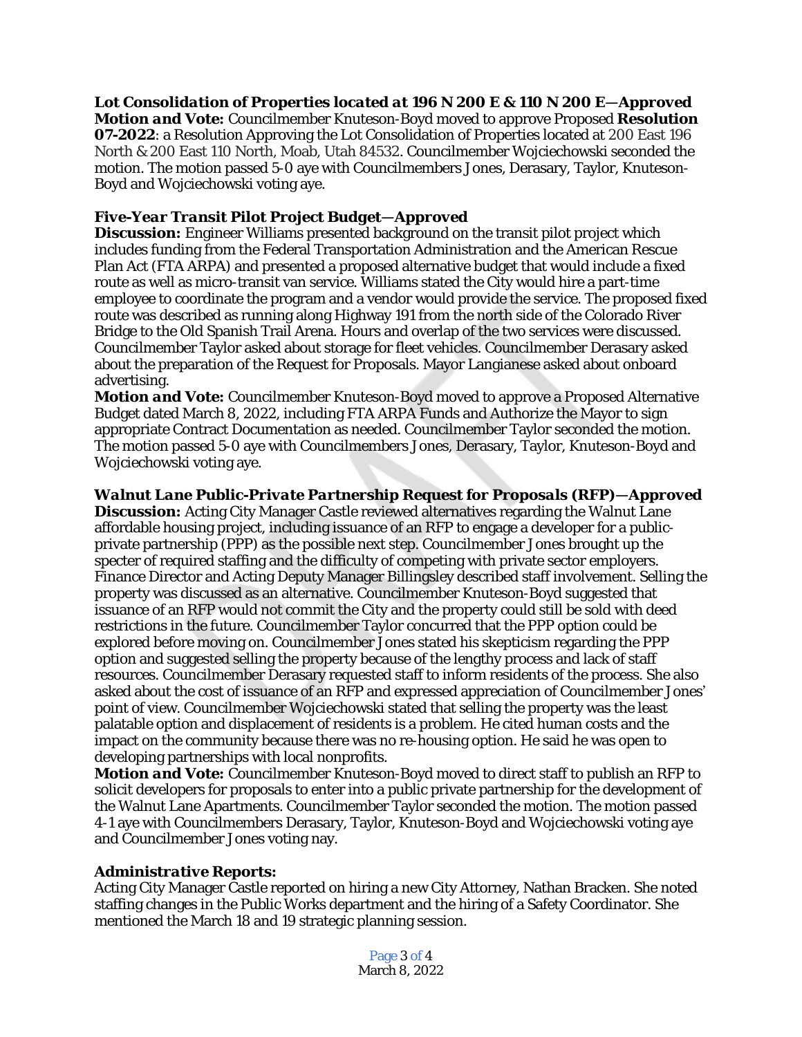*Lot Consolidation of Properties located at 196 N 200 E & 110 N 200 E—Approved Motion and Vote:* Councilmember Knuteson-Boyd moved to approve Proposed **Resolution 07-2022**: a Resolution Approving the Lot Consolidation of Properties located at 200 East 196 North & 200 East 110 North, Moab, Utah 84532. Councilmember Wojciechowski seconded the motion. The motion passed 5-0 aye with Councilmembers Jones, Derasary, Taylor, Knuteson-Boyd and Wojciechowski voting aye.

### *Five-Year Transit Pilot Project Budget—Approved*

**Discussion:** Engineer Williams presented background on the transit pilot project which includes funding from the Federal Transportation Administration and the American Rescue Plan Act (FTA ARPA) and presented a proposed alternative budget that would include a fixed route as well as micro-transit van service. Williams stated the City would hire a part-time employee to coordinate the program and a vendor would provide the service. The proposed fixed route was described as running along Highway 191 from the north side of the Colorado River Bridge to the Old Spanish Trail Arena. Hours and overlap of the two services were discussed. Councilmember Taylor asked about storage for fleet vehicles. Councilmember Derasary asked about the preparation of the Request for Proposals. Mayor Langianese asked about onboard advertising.

*Motion and Vote:* Councilmember Knuteson-Boyd moved to approve a Proposed Alternative Budget dated March 8, 2022, including FTA ARPA Funds and Authorize the Mayor to sign appropriate Contract Documentation as needed. Councilmember Taylor seconded the motion. The motion passed 5-0 aye with Councilmembers Jones, Derasary, Taylor, Knuteson-Boyd and Wojciechowski voting aye.

### *Walnut Lane Public-Private Partnership Request for Proposals (RFP)—Approved*

**Discussion:** Acting City Manager Castle reviewed alternatives regarding the Walnut Lane affordable housing project, including issuance of an RFP to engage a developer for a publicprivate partnership (PPP) as the possible next step. Councilmember Jones brought up the specter of required staffing and the difficulty of competing with private sector employers. Finance Director and Acting Deputy Manager Billingsley described staff involvement. Selling the property was discussed as an alternative. Councilmember Knuteson-Boyd suggested that issuance of an RFP would not commit the City and the property could still be sold with deed restrictions in the future. Councilmember Taylor concurred that the PPP option could be explored before moving on. Councilmember Jones stated his skepticism regarding the PPP option and suggested selling the property because of the lengthy process and lack of staff resources. Councilmember Derasary requested staff to inform residents of the process. She also asked about the cost of issuance of an RFP and expressed appreciation of Councilmember Jones' point of view. Councilmember Wojciechowski stated that selling the property was the least palatable option and displacement of residents is a problem. He cited human costs and the impact on the community because there was no re-housing option. He said he was open to developing partnerships with local nonprofits.

*Motion and Vote:* Councilmember Knuteson-Boyd moved to direct staff to publish an RFP to solicit developers for proposals to enter into a public private partnership for the development of the Walnut Lane Apartments. Councilmember Taylor seconded the motion. The motion passed 4-1 aye with Councilmembers Derasary, Taylor, Knuteson-Boyd and Wojciechowski voting aye and Councilmember Jones voting nay.

### *Administrative Reports:*

Acting City Manager Castle reported on hiring a new City Attorney, Nathan Bracken. She noted staffing changes in the Public Works department and the hiring of a Safety Coordinator. She mentioned the March 18 and 19 strategic planning session.

> Page 3 of 4 March 8, 2022